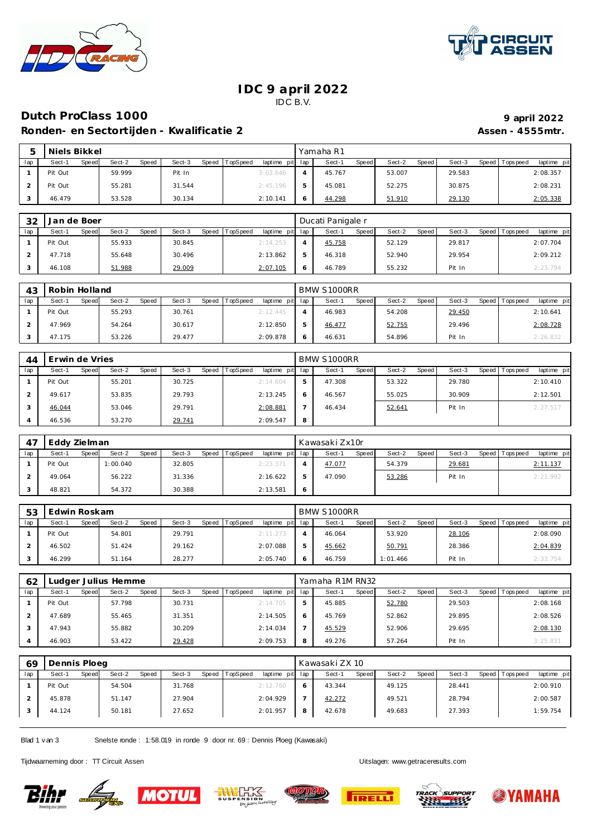



### **IDC 9 april 2022** IDC B.V.

# **Dutch ProClass 1000 9 1000 9 1000 9 1000 9 1000 9 1000 9 1000 9 1000 9 1000 9 1000 9 1000 9 1000 9 1000 9 1000 9 1000 9 1000 9 1000 9 1000 9 1000 9**

**Ronden- en Sectortijden - Kwalificatie 2 Assen - 4555mtr. Assen - 4555mtr.** 

|     | Niels Bikkel |       |        |       |        |       |          |                 | Yamaha R1 |       |        |       |        |                 |             |
|-----|--------------|-------|--------|-------|--------|-------|----------|-----------------|-----------|-------|--------|-------|--------|-----------------|-------------|
| lap | Sect-1       | Speed | Sect-2 | Speed | Sect-3 | Speed | TopSpeed | laptime pit lap | Sect-1    | Speed | Sect-2 | Speed | Sect-3 | Speed Tops peed | laptime pit |
|     | Pit Out      |       | 59.999 |       | Pit In |       |          | 3:03.646        | 45.767    |       | 53.007 |       | 29.583 |                 | 2:08.357    |
|     | Pit Out      |       | 55.281 |       | 31.544 |       |          | 2:45.196        | 45.081    |       | 52.275 |       | 30.875 |                 | 2:08.231    |
|     | 46.479       |       | 53.528 |       | 30.134 |       |          | 2:10.141        | 44.298    |       | 51.910 |       | 29.130 |                 | 2:05.338    |

| 32  | Jan de Boer     |                 |        |                                   |   | Ducati Panigale r |                 |        |                                |
|-----|-----------------|-----------------|--------|-----------------------------------|---|-------------------|-----------------|--------|--------------------------------|
| lap | Sect-1<br>Speed | Sect-2<br>Speed | Sect-3 | Speed TopSpeed<br>laptime pit lap |   | Speed<br>Sect-1   | Sect-2<br>Speed | Sect-3 | laptime pit<br>Speed Tops peed |
|     | Pit Out         | 55.933          | 30.845 | 2:14.253                          |   | 45.758            | 52.129          | 29.817 | 2:07.704                       |
|     | 47.718          | 55.648          | 30.496 | 2:13.862                          |   | 46.318            | 52.940          | 29.954 | 2:09.212                       |
|     | 46.108          | 51.988          | 29.009 | 2:07.105                          | O | 46.789            | 55.232          | Pit In | 2:23.794                       |

| 43  | Robin Holland |       |        |       |        |       |          |                 | BMW S1000RR |       |        |       |        |       |                  |             |
|-----|---------------|-------|--------|-------|--------|-------|----------|-----------------|-------------|-------|--------|-------|--------|-------|------------------|-------------|
| lap | Sect-1        | Speed | Sect-2 | Speed | Sect-3 | Speed | TopSpeed | laptime pit lap | Sect-1      | Speed | Sect-2 | Speed | Sect-3 | Speed | <b>Tops peed</b> | laptime pit |
|     | Pit Out       |       | 55.293 |       | 30.761 |       |          | 2:12.445        | 46.983      |       | 54.208 |       | 29.450 |       |                  | 2:10.641    |
|     | 47.969        |       | 54.264 |       | 30.617 |       |          | 2:12.850        | 46.477      |       | 52.755 |       | 29.496 |       |                  | 2:08.728    |
|     | 47.175        |       | 53.226 |       | 29.477 |       |          | 2:09.878        | 46.631      |       | 54.896 |       | Pit In |       |                  | 2:26.83     |

| 44  | Erwin de Vries  |                 |                 |                             |   | BMW S1000RR            |                 |                 |                            |
|-----|-----------------|-----------------|-----------------|-----------------------------|---|------------------------|-----------------|-----------------|----------------------------|
| lap | Sect-1<br>Speed | Sect-2<br>Speed | Sect-3<br>Speed | TopSpeed<br>laptime pit lap |   | <b>Speed</b><br>Sect-1 | Sect-2<br>Speed | Sect-3<br>Speed | T ops pee d<br>laptime pit |
|     | Pit Out         | 55.201          | 30.725          | 2:14.604                    |   | 47.308                 | 53.322          | 29.780          | 2:10.410                   |
|     | 49.617          | 53.835          | 29.793          | 2:13.245                    |   | 46.567                 | 55.025          | 30.909          | 2:12.501                   |
|     | 46.044          | 53.046          | 29.791          | 2:08.881                    |   | 46.434                 | 52.641          | Pit In          | 2:27.517                   |
|     | 46.536          | 53.270          | 29.741          | 2:09.547                    | 8 |                        |                 |                 |                            |

|     | Eddy Zielman |       |          |       |        |       |          |                 | Kawasaki Zx10r |       |        |         |        |                 |             |
|-----|--------------|-------|----------|-------|--------|-------|----------|-----------------|----------------|-------|--------|---------|--------|-----------------|-------------|
| lap | Sect-1       | Speed | Sect-2   | Speed | Sect-3 | Speed | TopSpeed | laptime pit lap | Sect-1         | Speed | Sect-2 | Speed I | Sect-3 | Speed Tops peed | laptime pit |
|     | Pit Out      |       | 1:00.040 |       | 32.805 |       |          | 2: 23.371       | 47.077         |       | 54.379 |         | 29.681 |                 | 2:11.137    |
|     | 49.064       |       | 56.222   |       | 31.336 |       |          | 2:16.622        | 47.090         |       | 53.286 |         | Pit In |                 | 2:21.992    |
|     | 48.821       |       | 54.372   |       | 30.388 |       |          | 2:13.581        |                |       |        |         |        |                 |             |

| 53  | Edwin Roskam |       |        |       |        |       |          |                 |   | BMW S1000RR |              |          |       |        |       |             |             |
|-----|--------------|-------|--------|-------|--------|-------|----------|-----------------|---|-------------|--------------|----------|-------|--------|-------|-------------|-------------|
| lap | Sect-1       | Speed | Sect-2 | Speed | Sect-3 | Speed | TopSpeed | laptime pit lap |   | Sect-1      | <b>Speed</b> | Sect-2   | Speed | Sect-3 | Speed | T ops pee d | laptime pit |
|     | Pit Out      |       | 54.801 |       | 29.791 |       |          | 2:11.273        |   | 46.064      |              | 53.920   |       | 28.106 |       |             | 2:08.090    |
|     | 46.502       |       | 51.424 |       | 29.162 |       |          | 2:07.088        | ь | 45.662      |              | 50.791   |       | 28.386 |       |             | 2:04.839    |
|     | 46.299       |       | 51.164 |       | 28.277 |       |          | 2:05.740        |   | 46.759      |              | 1:01.466 |       | Pit In |       |             | 2:33.754    |

| 62  | udger Julius Hemme |       |        |       |        |       |                 |             |     | Yamaha R1M RN32 |       |        |       |        |       |            |             |
|-----|--------------------|-------|--------|-------|--------|-------|-----------------|-------------|-----|-----------------|-------|--------|-------|--------|-------|------------|-------------|
| lap | Sect-1             | Speed | Sect-2 | Speed | Sect-3 | Speed | <b>TopSpeed</b> | laptime pit | lap | Sect-1          | Speed | Sect-2 | Speed | Sect-3 | Speed | Tops pee d | laptime pit |
|     | Pit Out            |       | 57.798 |       | 30.731 |       |                 | 2:14.705    | 5   | 45.885          |       | 52.780 |       | 29.503 |       |            | 2:08.168    |
|     | 47.689             |       | 55.465 |       | 31.351 |       |                 | 2:14.505    | Ð   | 45.769          |       | 52.862 |       | 29.895 |       |            | 2:08.526    |
|     | 47.943             |       | 55.882 |       | 30.209 |       |                 | 2:14.034    |     | 45.529          |       | 52.906 |       | 29.695 |       |            | 2:08.130    |
|     | 46.903             |       | 53.422 |       | 29.428 |       |                 | 2:09.753    | 8   | 49.276          |       | 57.264 |       | Pit In |       |            | 3:25.831    |

| 69  | Dennis Ploeg |       |        |       |        |       |          |                 |    | Kawasaki ZX 10 |              |        |       |        |       |                  |             |
|-----|--------------|-------|--------|-------|--------|-------|----------|-----------------|----|----------------|--------------|--------|-------|--------|-------|------------------|-------------|
| lap | Sect-1       | Speed | Sect-2 | Speed | Sect-3 | Speed | TopSpeed | laptime pit lap |    | Sect-1         | <b>Speed</b> | Sect-2 | Speed | Sect-3 | Speed | <b>Tops peed</b> | laptime pit |
|     | Pit Out      |       | 54.504 |       | 31.768 |       |          | 2:12.760        | -6 | 43.344         |              | 49.125 |       | 28.441 |       |                  | 2:00.910    |
|     | 45.878       |       | 51.147 |       | 27.904 |       |          | 2:04.929        |    | 42.272         |              | 49.521 |       | 28.794 |       |                  | 2:00.587    |
|     | 44.124       |       | 50.181 |       | 27.652 |       |          | 2:01.957        | 8  | 42.678         |              | 49.683 |       | 27.393 |       |                  | 1:59.754    |

Blad 1 v an 3 Snelste ronde : 1:58.019 in ronde 9 door nr. 69 : Dennis Ploeg (Kawasaki)

Tijdwaarneming door : TT Circuit Assen enter the state of the state of the Uitslagen:<www.getraceresults.com>











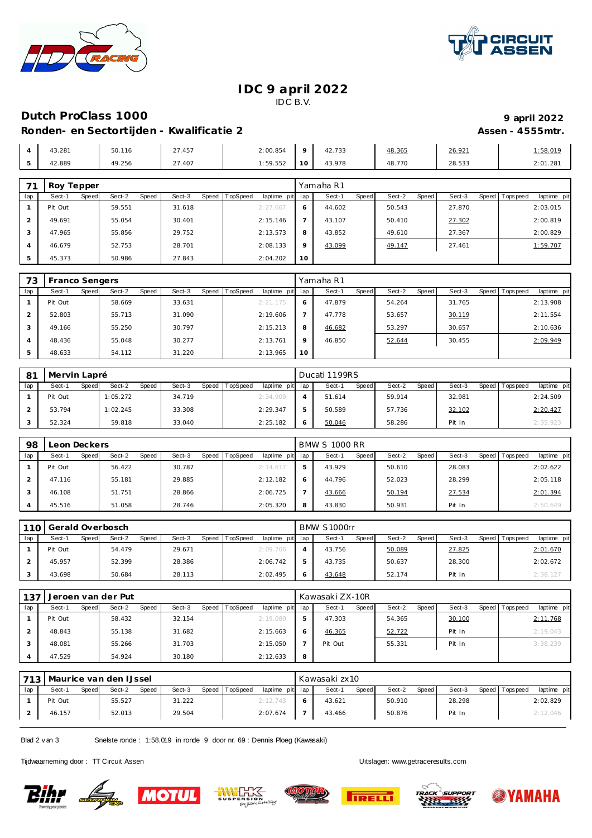



### **IDC 9 april 2022** IDC B.V.

## **Dutch ProClass 1000 9 1000 9 1000 9 1000 9 1000 9 1000 9 1000 9 1000 9 1000 9 1000 9 1000 9 1000 9 1000 9 1000 9 1000 9 1000 9 1000 9 1000 9 1000 9**

### Ronden- en Sectortijden - Kwalificatie 2 **Assen - 4555mtr.** Assen - 4555mtr.

|                                   | 43.281 | 50.116       | 27.457 | 2:00.854 | $\circ$         | 42.733 | 48.365 | 26.921 | :58.019  |
|-----------------------------------|--------|--------------|--------|----------|-----------------|--------|--------|--------|----------|
| $\overline{ }$<br>$\cdot$ $\cdot$ | 42.889 | 19.256<br>49 | 27.407 | 1:59.552 | 10 <sub>1</sub> | 43.978 | 48.770 | 28.533 | 2:01.281 |

| 71  | Roy Tepper      |                 |                 |                                |          | Yamaha R1       |                 |        |                                  |
|-----|-----------------|-----------------|-----------------|--------------------------------|----------|-----------------|-----------------|--------|----------------------------------|
| lap | Speed<br>Sect-1 | Sect-2<br>Speed | Sect-3<br>Speed | <b>TopSpeed</b><br>laptime pit | lap      | Speed<br>Sect-1 | Speed<br>Sect-2 | Sect-3 | Speed   Tops peed<br>laptime pit |
|     | Pit Out         | 59.551          | 31.618          | 2:27.667                       | O        | 44.602          | 50.543          | 27.870 | 2:03.015                         |
|     | 49.691          | 55.054          | 30.401          | 2:15.146                       |          | 43.107          | 50.410          | 27.302 | 2:00.819                         |
|     | 47.965          | 55.856          | 29.752          | 2:13.573                       | 8        | 43.852          | 49.610          | 27.367 | 2:00.829                         |
|     | 46.679          | 52.753          | 28.701          | 2:08.133                       | $\Omega$ | 43.099          | 49.147          | 27.461 | 1:59.707                         |
|     | 45.373          | 50.986          | 27.843          | 2:04.202                       | 10       |                 |                 |        |                                  |

| 73  | Franco Sengers |       |        |       |        |       |          |             |         | Yamaha R1 |       |        |       |        |                |             |
|-----|----------------|-------|--------|-------|--------|-------|----------|-------------|---------|-----------|-------|--------|-------|--------|----------------|-------------|
| lap | Sect-1         | Speed | Sect-2 | Speed | Sect-3 | Speed | TopSpeed | laptime pit | lap     | Sect-1    | Speed | Sect-2 | Speed | Sect-3 | Speed Topspeed | laptime pit |
|     | Pit Out        |       | 58.669 |       | 33.631 |       |          | 2:21.175    | O       | 47.879    |       | 54.264 |       | 31.765 |                | 2:13.908    |
|     | 52.803         |       | 55.713 |       | 31.090 |       |          | 2:19.606    |         | 47.778    |       | 53.657 |       | 30.119 |                | 2:11.554    |
| 3   | 49.166         |       | 55.250 |       | 30.797 |       |          | 2:15.213    | 8       | 46.682    |       | 53.297 |       | 30.657 |                | 2:10.636    |
| 4   | 48.436         |       | 55.048 |       | 30.277 |       |          | 2:13.761    | $\circ$ | 46.850    |       | 52.644 |       | 30.455 |                | 2:09.949    |
|     | 48.633         |       | 54.112 |       | 31.220 |       |          | 2:13.965    | 10      |           |       |        |       |        |                |             |

| 81  | Mervin Lapré |       |          |       |        |       |          |                 |   | Ducati 1199RS |       |        |         |        |                 |             |
|-----|--------------|-------|----------|-------|--------|-------|----------|-----------------|---|---------------|-------|--------|---------|--------|-----------------|-------------|
| lap | Sect-1       | Speed | Sect-2   | Speed | Sect-3 | Speed | TopSpeed | laptime pit lap |   | Sect-1        | Speed | Sect-2 | Speed I | Sect-3 | Speed Tops peed | laptime pit |
|     | Pit Out      |       | 1:05.272 |       | 34.719 |       |          | 2:34.909        | 4 | 51.614        |       | 59.914 |         | 32.981 |                 | 2:24.509    |
|     | 53.794       |       | 1:02.245 |       | 33.308 |       |          | 2:29.347        |   | 50.589        |       | 57.736 |         | 32.102 |                 | 2:20.427    |
|     | 52.324       |       | 59.818   |       | 33.040 |       |          | 2:25.182        |   | 50.046        |       | 58.286 |         | Pit In |                 | 2:35.923    |

| 98  | eon Deckers |       |        |       |        |       |                 |             |     | <b>BMW S 1000 RR</b> |       |        |       |        |       |           |             |  |
|-----|-------------|-------|--------|-------|--------|-------|-----------------|-------------|-----|----------------------|-------|--------|-------|--------|-------|-----------|-------------|--|
| lap | Sect-1      | Speed | Sect-2 | Speed | Sect-3 | Speed | <b>TopSpeed</b> | laptime pit | lap | Sect-1               | Speed | Sect-2 | Speed | Sect-3 | Speed | Tops peed | laptime pit |  |
|     | Pit Out     |       | 56.422 |       | 30.787 |       |                 | 2:14.617    | 5   | 43.929               |       | 50.610 |       | 28.083 |       |           | 2:02.622    |  |
|     | 47.116      |       | 55.181 |       | 29.885 |       |                 | 2:12.182    | 6   | 44.796               |       | 52.023 |       | 28.299 |       |           | 2:05.118    |  |
|     | 46.108      |       | 51.751 |       | 28.866 |       |                 | 2:06.725    |     | 43.666               |       | 50.194 |       | 27.534 |       |           | 2:01.394    |  |
|     | 45.516      |       | 51.058 |       | 28.746 |       |                 | 2:05.320    | 8   | 43.830               |       | 50.931 |       | Pit In |       |           | 2:50.649    |  |

|     | 110 Gerald Overbosch |       |        |       |        |       | BMW S1000rr |                 |        |              |        |       |        |  |                 |             |
|-----|----------------------|-------|--------|-------|--------|-------|-------------|-----------------|--------|--------------|--------|-------|--------|--|-----------------|-------------|
| lap | Sect-1               | Speed | Sect-2 | Speed | Sect-3 | Speed | TopSpeed    | laptime pit lap | Sect-1 | <b>Speed</b> | Sect-2 | Speed | Sect-3 |  | Speed Tops peed | laptime pit |
|     | Pit Out              |       | 54.479 |       | 29.671 |       |             | 2:09.706        | 43.756 |              | 50.089 |       | 27.825 |  |                 | 2:01.670    |
|     | 45.957               |       | 52.399 |       | 28.386 |       |             | 2:06.742        | 43.735 |              | 50.637 |       | 28.300 |  |                 | 2:02.672    |
|     | 43.698               |       | 50.684 |       | 28.113 |       |             | 2:02.495        | 43.648 |              | 52.174 |       | Pit In |  |                 | 2:38.127    |

| 137 |         | Jeroen van der Put |        |       |        |       | Kawasaki ZX-10R |             |     |         |              |        |       |        |  |                |             |
|-----|---------|--------------------|--------|-------|--------|-------|-----------------|-------------|-----|---------|--------------|--------|-------|--------|--|----------------|-------------|
| lap | Sect-1  | Speed              | Sect-2 | Speed | Sect-3 | Speed | TopSpeed        | laptime pit | lap | Sect-1  | <b>Speed</b> | Sect-2 | Speed | Sect-3 |  | Speed Topspeed | laptime pit |
|     | Pit Out |                    | 58.432 |       | 32.154 |       |                 | 2:19.080    | 5   | 47.303  |              | 54.365 |       | 30.100 |  |                | 2:11.768    |
|     | 48.843  |                    | 55.138 |       | 31.682 |       |                 | 2:15.663    | 6   | 46.365  |              | 52.722 |       | Pit In |  |                | 2:19.043    |
|     | 48.081  |                    | 55.266 |       | 31.703 |       |                 | 2:15.050    |     | Pit Out |              | 55.331 |       | Pit In |  |                | 3:38.239    |
|     | 47.529  |                    | 54.924 |       | 30.180 |       |                 | 2:12.633    | 8   |         |              |        |       |        |  |                |             |

| 713 | Maurice van den IJssel |       |        |              |        |       |          |                 |  | Kawasaki zx10 |       |        |       |        |       |            |             |  |
|-----|------------------------|-------|--------|--------------|--------|-------|----------|-----------------|--|---------------|-------|--------|-------|--------|-------|------------|-------------|--|
| lap | Sect-1                 | Speed | Sect-2 | <b>Speed</b> | Sect-3 | Speed | TopSpeed | laptime pit lap |  | Sect-1        | Speed | Sect-2 | Speed | Sect-3 | Speed | Tops pee d | laptime pit |  |
|     | Pit Out                |       | 55.527 |              | 31.222 |       |          | 2:12.743        |  | 43.621        |       | 50.910 |       | 28.298 |       |            | 2:02.829    |  |
|     | 46.157                 |       | 52.013 |              | 29.504 |       |          | 2:07.674        |  | 43.466        |       | 50.876 |       | Pit In |       |            | 2:12.046    |  |

Blad 2 v an 3 Snelste ronde : 1:58.019 in ronde 9 door nr. 69 : Dennis Ploeg (Kawasaki)

Tijdwaarneming door : TT Circuit Assen enter the state of the state of the Uitslagen:<www.getraceresults.com>